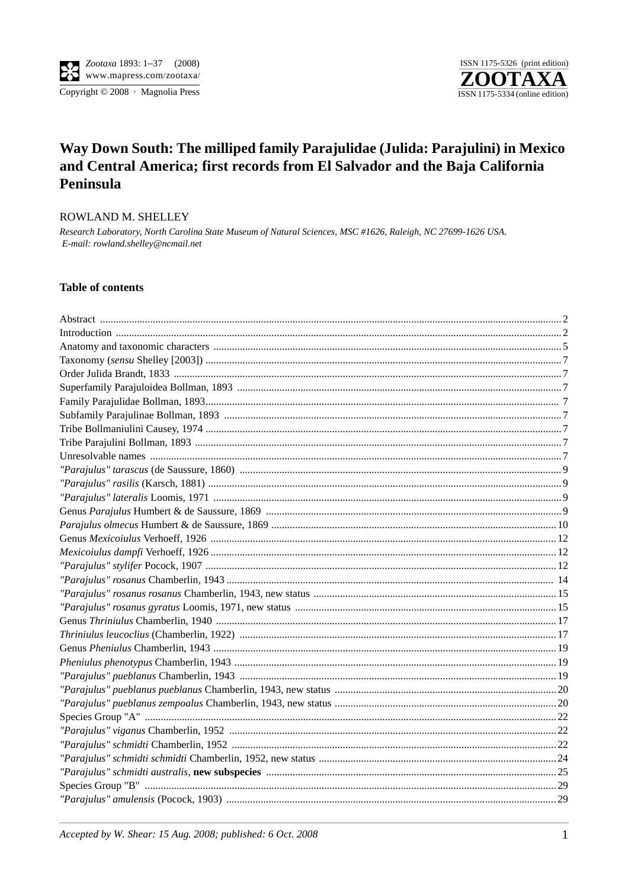

# Way Down South: The milliped family Parajulidae (Julida: Parajulini) in Mexico and Central America; first records from El Salvador and the Baja California Peninsula

#### ROWLAND M. SHELLEY

Research Laboratory, North Carolina State Museum of Natural Sciences, MSC #1626, Raleigh, NC 27699-1626 USA. E-mail: rowland.shelley@ncmail.net

#### **Table of contents**